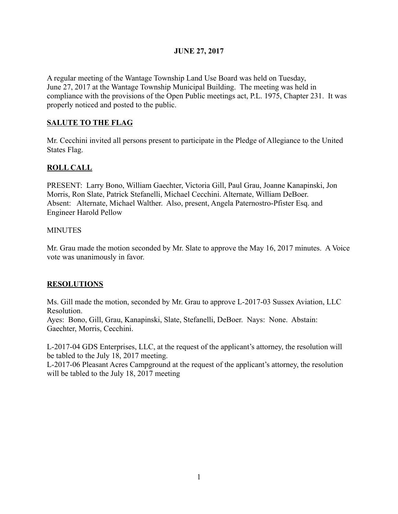## JUNE 27, 2017

A regular meeting of the Wantage Township Land Use Board was held on Tuesday, June 27, 2017 at the Wantage Township Municipal Building. The meeting was held in compliance with the provisions of the Open Public meetings act, P.L. 1975, Chapter 231. It was properly noticed and posted to the public.

## SALUTE TO THE FLAG

Mr. Cecchini invited all persons present to participate in the Pledge of Allegiance to the United States Flag.

## ROLL CALL

PRESENT: Larry Bono, William Gaechter, Victoria Gill, Paul Grau, Joanne Kanapinski, Jon Morris, Ron Slate, Patrick Stefanelli, Michael Cecchini. Alternate, William DeBoer. Absent: Alternate, Michael Walther. Also, present, Angela Paternostro-Pfister Esq. and Engineer Harold Pellow

#### **MINUTES**

Mr. Grau made the motion seconded by Mr. Slate to approve the May 16, 2017 minutes. A Voice vote was unanimously in favor.

#### RESOLUTIONS

Ms. Gill made the motion, seconded by Mr. Grau to approve L-2017-03 Sussex Aviation, LLC Resolution.

Ayes: Bono, Gill, Grau, Kanapinski, Slate, Stefanelli, DeBoer. Nays: None. Abstain: Gaechter, Morris, Cecchini.

L-2017-04 GDS Enterprises, LLC, at the request of the applicant's attorney, the resolution will be tabled to the July 18, 2017 meeting.

L-2017-06 Pleasant Acres Campground at the request of the applicant's attorney, the resolution will be tabled to the July 18, 2017 meeting